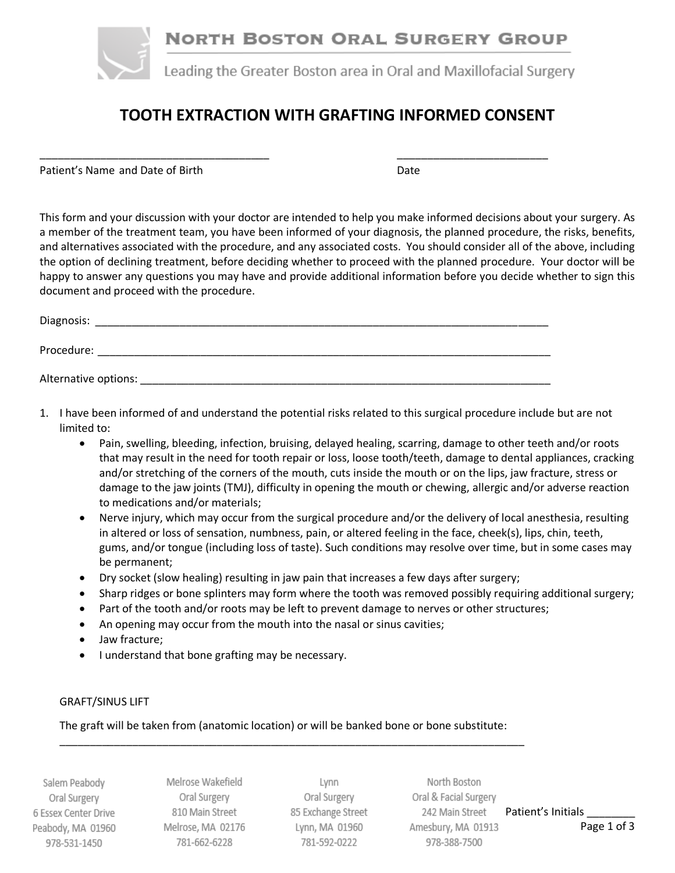

# **TOOTH EXTRACTION WITH GRAFTING INFORMED CONSENT**

Patient's Name and Date of Birth Date Date Date

This form and your discussion with your doctor are intended to help you make informed decisions about your surgery. As a member of the treatment team, you have been informed of your diagnosis, the planned procedure, the risks, benefits, and alternatives associated with the procedure, and any associated costs. You should consider all of the above, including the option of declining treatment, before deciding whether to proceed with the planned procedure. Your doctor will be happy to answer any questions you may have and provide additional information before you decide whether to sign this document and proceed with the procedure.

| Diagnosis:           |  |  |  |
|----------------------|--|--|--|
| Procedure:           |  |  |  |
| Alternative options: |  |  |  |

\_\_\_\_\_\_\_\_\_\_\_\_\_\_\_\_\_\_\_\_\_\_\_\_\_\_\_\_\_\_\_\_\_\_\_\_\_\_ \_\_\_\_\_\_\_\_\_\_\_\_\_\_\_\_\_\_\_\_\_\_\_\_\_

- 1. I have been informed of and understand the potential risks related to this surgical procedure include but are not limited to:
	- Pain, swelling, bleeding, infection, bruising, delayed healing, scarring, damage to other teeth and/or roots that may result in the need for tooth repair or loss, loose tooth/teeth, damage to dental appliances, cracking and/or stretching of the corners of the mouth, cuts inside the mouth or on the lips, jaw fracture, stress or damage to the jaw joints (TMJ), difficulty in opening the mouth or chewing, allergic and/or adverse reaction to medications and/or materials;
	- Nerve injury, which may occur from the surgical procedure and/or the delivery of local anesthesia, resulting in altered or loss of sensation, numbness, pain, or altered feeling in the face, cheek(s), lips, chin, teeth, gums, and/or tongue (including loss of taste). Such conditions may resolve over time, but in some cases may be permanent;
	- Dry socket (slow healing) resulting in jaw pain that increases a few days after surgery;
	- Sharp ridges or bone splinters may form where the tooth was removed possibly requiring additional surgery;
	- Part of the tooth and/or roots may be left to prevent damage to nerves or other structures;
	- An opening may occur from the mouth into the nasal or sinus cavities;
	- Jaw fracture;
	- I understand that bone grafting may be necessary.

#### GRAFT/SINUS LIFT

The graft will be taken from (anatomic location) or will be banked bone or bone substitute:

\_\_\_\_\_\_\_\_\_\_\_\_\_\_\_\_\_\_\_\_\_\_\_\_\_\_\_\_\_\_\_\_\_\_\_\_\_\_\_\_\_\_\_\_\_\_\_\_\_\_\_\_\_\_\_\_\_\_\_\_\_\_\_\_\_\_\_\_\_\_\_\_\_\_\_\_\_

Salem Peabody Oral Surgery 6 Essex Center Drive Peabody, MA 01960 978-531-1450

Melrose Wakefield Oral Surgery 810 Main Street Melrose, MA 02176 781-662-6228

Lynn Oral Surgery 85 Exchange Street Lynn, MA 01960 781-592-0222

North Boston Oral & Facial Surgery 242 Main Street Patient's Initials Amesbury, MA 01913 **Page 1 of 3** 978-388-7500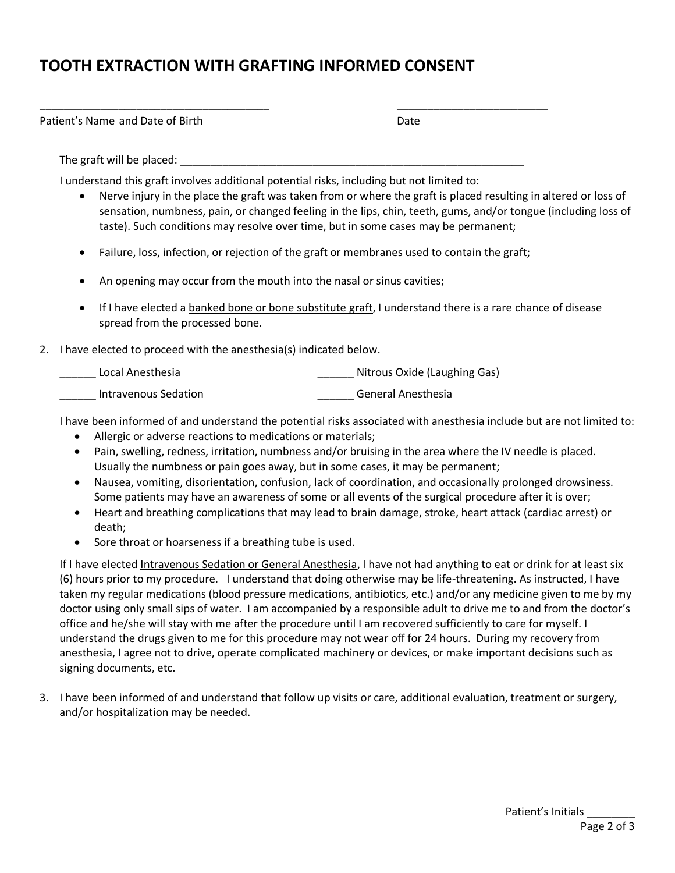## **TOOTH EXTRACTION WITH GRAFTING INFORMED CONSENT**

Patient's Name and Date of Birth Date Date Date

The graft will be placed:

I understand this graft involves additional potential risks, including but not limited to:

\_\_\_\_\_\_\_\_\_\_\_\_\_\_\_\_\_\_\_\_\_\_\_\_\_\_\_\_\_\_\_\_\_\_\_\_\_\_ \_\_\_\_\_\_\_\_\_\_\_\_\_\_\_\_\_\_\_\_\_\_\_\_\_

- Nerve injury in the place the graft was taken from or where the graft is placed resulting in altered or loss of sensation, numbness, pain, or changed feeling in the lips, chin, teeth, gums, and/or tongue (including loss of taste). Such conditions may resolve over time, but in some cases may be permanent;
- Failure, loss, infection, or rejection of the graft or membranes used to contain the graft;
- An opening may occur from the mouth into the nasal or sinus cavities;
- If I have elected a banked bone or bone substitute graft, I understand there is a rare chance of disease spread from the processed bone.
- 2. I have elected to proceed with the anesthesia(s) indicated below.

| Local Anesthesia     | Nitrous Oxide (Laughing Gas) |
|----------------------|------------------------------|
| Intravenous Sedation | General Anesthesia           |

I have been informed of and understand the potential risks associated with anesthesia include but are not limited to:

- Allergic or adverse reactions to medications or materials;
- Pain, swelling, redness, irritation, numbness and/or bruising in the area where the IV needle is placed. Usually the numbness or pain goes away, but in some cases, it may be permanent;
- Nausea, vomiting, disorientation, confusion, lack of coordination, and occasionally prolonged drowsiness. Some patients may have an awareness of some or all events of the surgical procedure after it is over;
- Heart and breathing complications that may lead to brain damage, stroke, heart attack (cardiac arrest) or death;
- Sore throat or hoarseness if a breathing tube is used.

If I have elected Intravenous Sedation or General Anesthesia, I have not had anything to eat or drink for at least six (6) hours prior to my procedure. I understand that doing otherwise may be life-threatening. As instructed, I have taken my regular medications (blood pressure medications, antibiotics, etc.) and/or any medicine given to me by my doctor using only small sips of water. I am accompanied by a responsible adult to drive me to and from the doctor's office and he/she will stay with me after the procedure until I am recovered sufficiently to care for myself. I understand the drugs given to me for this procedure may not wear off for 24 hours. During my recovery from anesthesia, I agree not to drive, operate complicated machinery or devices, or make important decisions such as signing documents, etc.

3. I have been informed of and understand that follow up visits or care, additional evaluation, treatment or surgery, and/or hospitalization may be needed.